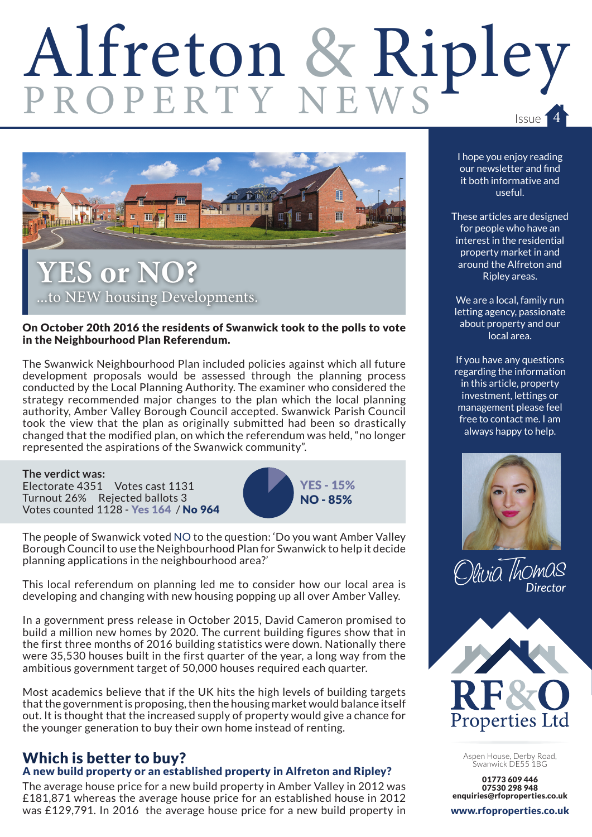# Alfreton & Ripley



#### On October 20th 2016 the residents of Swanwick took to the polls to vote in the Neighbourhood Plan Referendum.

The Swanwick Neighbourhood Plan included policies against which all future development proposals would be assessed through the planning process conducted by the Local Planning Authority. The examiner who considered the strategy recommended major changes to the plan which the local planning authority, Amber Valley Borough Council accepted. Swanwick Parish Council took the view that the plan as originally submitted had been so drastically changed that the modified plan, on which the referendum was held, "no longer represented the aspirations of the Swanwick community".

**The verdict was:** Electorate 4351 Votes cast 1131 Turnout 26% Rejected ballots 3 Votes counted 1128 - Yes 164 / No 964



The people of Swanwick voted NO to the question: 'Do you want Amber Valley Borough Council to use the Neighbourhood Plan for Swanwick to help it decide planning applications in the neighbourhood area?'

This local referendum on planning led me to consider how our local area is developing and changing with new housing popping up all over Amber Valley.

In a government press release in October 2015, David Cameron promised to build a million new homes by 2020. The current building figures show that in the first three months of 2016 building statistics were down. Nationally there were 35,530 houses built in the first quarter of the year, a long way from the ambitious government target of 50,000 houses required each quarter.

Most academics believe that if the UK hits the high levels of building targets that the government is proposing, then the housing market would balance itself out. It is thought that the increased supply of property would give a chance for the younger generation to buy their own home instead of renting.

## Which is better to buy?

### A new build property or an established property in Alfreton and Ripley?

The average house price for a new build property in Amber Valley in 2012 was £181,871 whereas the average house price for an established house in 2012 was £129,791. In 2016 the average house price for a new build property in I hope you enjoy reading our newsletter and find it both informative and useful.

These articles are designed for people who have an interest in the residential property market in and around the Alfreton and Ripley areas.

We are a local, family run letting agency, passionate about property and our local area.

If you have any questions regarding the information in this article, property investment, lettings or management please feel free to contact me. I am always happy to help.







Aspen House, Derby Road, Swanwick DE55 1BG

01773 609 446 07530 298 948 enquiries@rfoproperties.co.uk

www.rfoproperties.co.uk